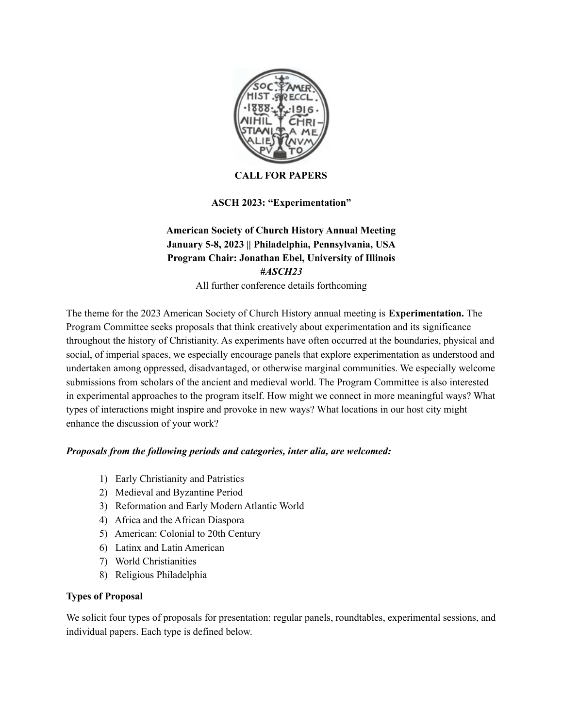

### **CALL FOR PAPERS**

## **ASCH 2023: "Experimentation"**

# **American Society of Church History Annual Meeting January 5-8, 2023 || Philadelphia, Pennsylvania, USA Program Chair: Jonathan Ebel, University of Illinois** *#ASCH23*

All further conference details forthcoming

The theme for the 2023 American Society of Church History annual meeting is **Experimentation.** The Program Committee seeks proposals that think creatively about experimentation and its significance throughout the history of Christianity. As experiments have often occurred at the boundaries, physical and social, of imperial spaces, we especially encourage panels that explore experimentation as understood and undertaken among oppressed, disadvantaged, or otherwise marginal communities. We especially welcome submissions from scholars of the ancient and medieval world. The Program Committee is also interested in experimental approaches to the program itself. How might we connect in more meaningful ways? What types of interactions might inspire and provoke in new ways? What locations in our host city might enhance the discussion of your work?

### *Proposals from the following periods and categories, inter alia, are welcomed:*

- 1) Early Christianity and Patristics
- 2) Medieval and Byzantine Period
- 3) Reformation and Early Modern Atlantic World
- 4) Africa and the African Diaspora
- 5) American: Colonial to 20th Century
- 6) Latinx and Latin American
- 7) World Christianities
- 8) Religious Philadelphia

#### **Types of Proposal**

We solicit four types of proposals for presentation: regular panels, roundtables, experimental sessions, and individual papers. Each type is defined below.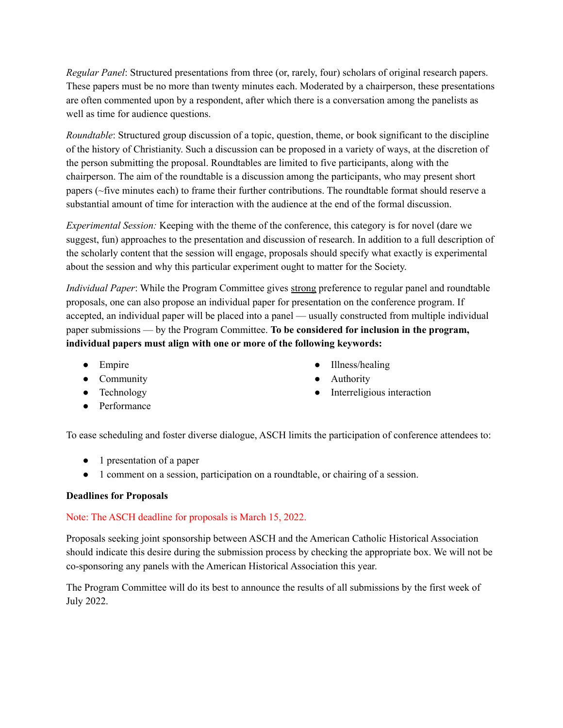*Regular Panel*: Structured presentations from three (or, rarely, four) scholars of original research papers. These papers must be no more than twenty minutes each. Moderated by a chairperson, these presentations are often commented upon by a respondent, after which there is a conversation among the panelists as well as time for audience questions.

*Roundtable*: Structured group discussion of a topic, question, theme, or book significant to the discipline of the history of Christianity. Such a discussion can be proposed in a variety of ways, at the discretion of the person submitting the proposal. Roundtables are limited to five participants, along with the chairperson. The aim of the roundtable is a discussion among the participants, who may present short papers (~five minutes each) to frame their further contributions. The roundtable format should reserve a substantial amount of time for interaction with the audience at the end of the formal discussion.

*Experimental Session:* Keeping with the theme of the conference, this category is for novel (dare we suggest, fun) approaches to the presentation and discussion of research. In addition to a full description of the scholarly content that the session will engage, proposals should specify what exactly is experimental about the session and why this particular experiment ought to matter for the Society.

*Individual Paper*: While the Program Committee gives strong preference to regular panel and roundtable proposals, one can also propose an individual paper for presentation on the conference program. If accepted, an individual paper will be placed into a panel — usually constructed from multiple individual paper submissions — by the Program Committee. **To be considered for inclusion in the program, individual papers must align with one or more of the following keywords:**

- Empire
- Community
- Technology
- Performance
- Illness/healing
- Authority
- Interreligious interaction

To ease scheduling and foster diverse dialogue, ASCH limits the participation of conference attendees to:

- 1 presentation of a paper
- 1 comment on a session, participation on a roundtable, or chairing of a session.

#### **Deadlines for Proposals**

### Note: The ASCH deadline for proposals is March 15, 2022.

Proposals seeking joint sponsorship between ASCH and the American Catholic Historical Association should indicate this desire during the submission process by checking the appropriate box. We will not be co-sponsoring any panels with the American Historical Association this year.

The Program Committee will do its best to announce the results of all submissions by the first week of July 2022.